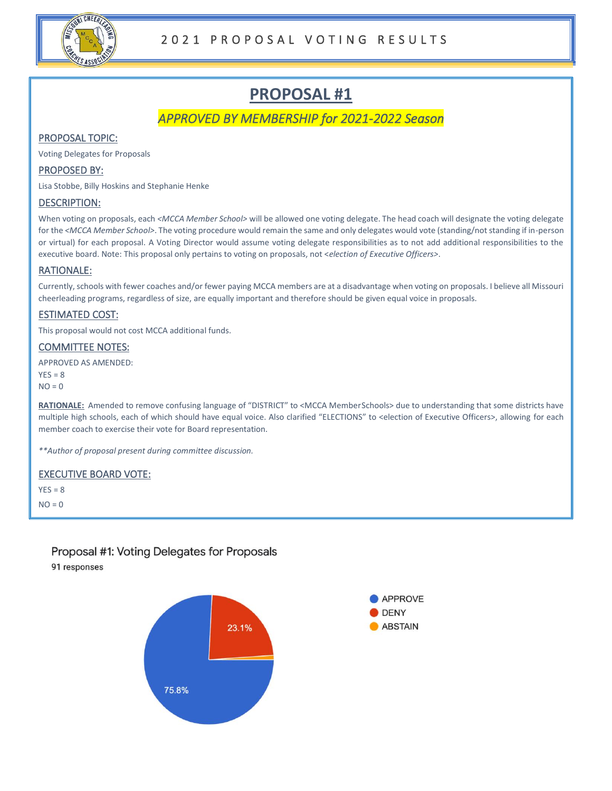

*APPROVED BY MEMBERSHIP for 2021-2022 Season* 

# PROPOSAL TOPIC:

Voting Delegates for Proposals

### PROPOSED BY:

Lisa Stobbe, Billy Hoskins and Stephanie Henke

#### DESCRIPTION:

When voting on proposals, each *<MCCA Member School>* will be allowed one voting delegate. The head coach will designate the voting delegate for the *<MCCA Member School>*. The voting procedure would remain the same and only delegates would vote (standing/not standing if in-person or virtual) for each proposal. A Voting Director would assume voting delegate responsibilities as to not add additional responsibilities to the executive board. Note: This proposal only pertains to voting on proposals, not <*election of Executive Officers>*.

#### RATIONALE:

Currently, schools with fewer coaches and/or fewer paying MCCA members are at a disadvantage when voting on proposals. I believe all Missouri cheerleading programs, regardless of size, are equally important and therefore should be given equal voice in proposals.

#### ESTIMATED COST:

This proposal would not cost MCCA additional funds.

#### COMMITTEE NOTES:

APPROVED AS AMENDED:

 $YES = 8$  $NO = 0$ 

**RATIONALE:** Amended to remove confusing language of "DISTRICT" to <MCCA Member Schools> due to understanding that some districts have multiple high schools, each of which should have equal voice. Also clarified "ELECTIONS" to <election of Executive Officers>, allowing for each member coach to exercise their vote for Board representation.

*\*\*Author of proposal present during committee discussion.*

#### EXECUTIVE BOARD VOTE:

 $YES = 8$  $NO = 0$ 

# Proposal #1: Voting Delegates for Proposals

91 responses

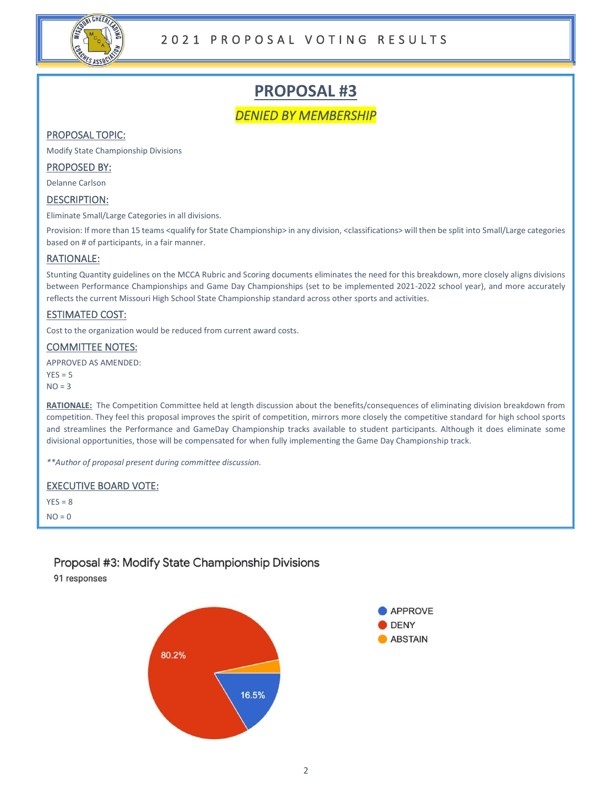

*DENIED BY MEMBERSHIP* 

# PROPOSAL TOPIC:

Modify State Championship Divisions

### PROPOSED BY:

Delanne Carlson

### DESCRIPTION:

Eliminate Small/Large Categories in all divisions.

Provision: If more than 15 teams <qualify for State Championship> in any division, <classifications> will then be split into Small/Large categories based on # of participants, in a fair manner.

#### RATIONALE:

Stunting Quantity guidelines on the MCCA Rubric and Scoring documents eliminates the need for this breakdown, more closely aligns divisions between Performance Championships and Game Day Championships (set to be implemented 2021-2022 school year), and more accurately reflects the current Missouri High School State Championship standard across other sports and activities.

# ESTIMATED COST:

Cost to the organization would be reduced from current award costs.

#### COMMITTEE NOTES:

APPROVED AS AMENDED:

 $YES = 5$  $NO = 3$ 

**RATIONALE:** The Competition Committee held at length discussion about the benefits/consequences of eliminating division breakdown from competition. They feel this proposal improves the spirit of competition, mirrors more closely the competitive standard for high school sports and streamlines the Performance and GameDay Championship tracks available to student participants. Although it does eliminate some divisional opportunities, those will be compensated for when fully implementing the Game Day Championship track.

*\*\*Author of proposal present during committee discussion.*

# EXECUTIVE BOARD VOTE:

 $YES = 8$  $NO = 0$ 

# Proposal #3: Modify State Championship Divisions

91 responses



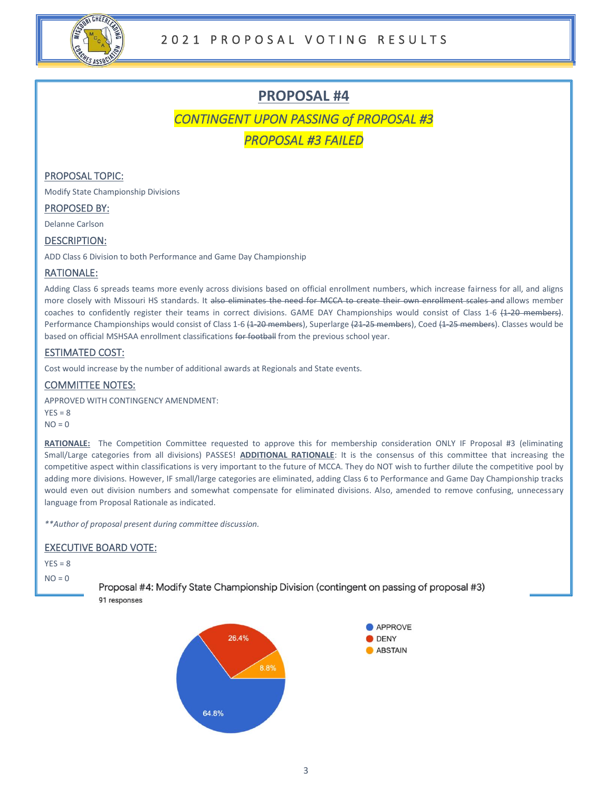

*CONTINGENT UPON PASSING of PROPOSAL #3* 

*PROPOSAL #3 FAILED* 

### PROPOSAL TOPIC:

Modify State Championship Divisions

#### PROPOSED BY:

Delanne Carlson

#### DESCRIPTION:

ADD Class 6 Division to both Performance and Game Day Championship

#### RATIONALE:

Adding Class 6 spreads teams more evenly across divisions based on official enrollment numbers, which increase fairness for all, and aligns more closely with Missouri HS standards. It also eliminates the need for MCCA to create their own enrollment scales and allows member coaches to confidently register their teams in correct divisions. GAME DAY Championships would consist of Class 1-6 (1-20 members). Performance Championships would consist of Class 1-6 (1-20 members), Superlarge (21-25 members), Coed (1-25 members). Classes would be based on official MSHSAA enrollment classifications for football from the previous school year.

# ESTIMATED COST:

Cost would increase by the number of additional awards at Regionals and State events.

#### COMMITTEE NOTES:

APPROVED WITH CONTINGENCY AMENDMENT:  $YFS = R$  $NO = 0$ 

**RATIONALE:** The Competition Committee requested to approve this for membership consideration ONLY IF Proposal #3 (eliminating Small/Large categories from all divisions) PASSES! **ADDITIONAL RATIONALE**: It is the consensus of this committee that increasing the competitive aspect within classifications is very important to the future of MCCA. They do NOT wish to further dilute the competitive pool by adding more divisions. However, IF small/large categories are eliminated, adding Class 6 to Performance and Game Day Championship tracks would even out division numbers and somewhat compensate for eliminated divisions. Also, amended to remove confusing, unnecessary language from Proposal Rationale as indicated.

*\*\*Author of proposal present during committee discussion.*

#### EXECUTIVE BOARD VOTE:

 $YFS = 8$ 

 $NO = 0$ 

Proposal #4: Modify State Championship Division (contingent on passing of proposal #3) 91 responses

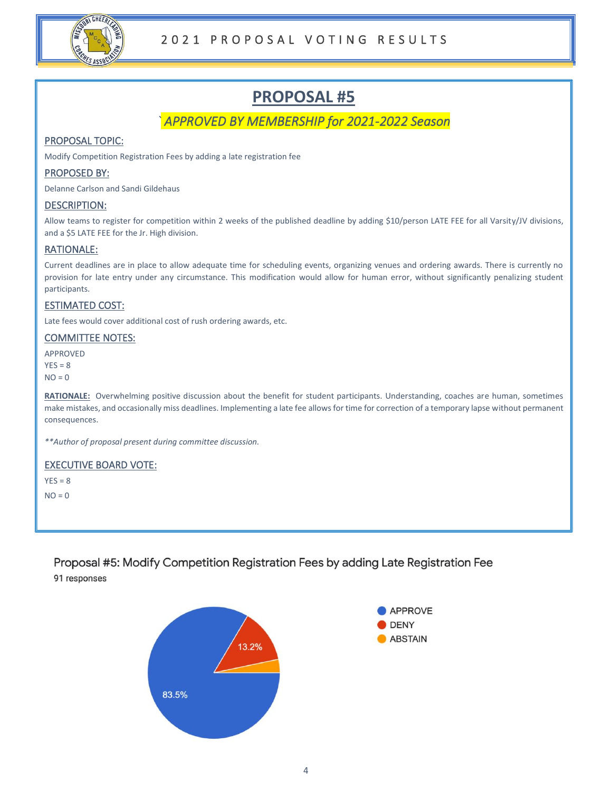

# *` APPROVED BY MEMBERSHIP for 2021-2022 Season*

# PROPOSAL TOPIC:

Modify Competition Registration Fees by adding a late registration fee

### PROPOSED BY:

Delanne Carlson and Sandi Gildehaus

#### DESCRIPTION:

Allow teams to register for competition within 2 weeks of the published deadline by adding \$10/person LATE FEE for all Varsity/JV divisions, and a \$5 LATE FEE for the Jr. High division.

# RATIONALE:

Current deadlines are in place to allow adequate time for scheduling events, organizing venues and ordering awards. There is currently no provision for late entry under any circumstance. This modification would allow for human error, without significantly penalizing student participants.

# ESTIMATED COST:

Late fees would cover additional cost of rush ordering awards, etc.

#### COMMITTEE NOTES:

APPROVED  $YES = 8$  $NO = 0$ 

**RATIONALE:** Overwhelming positive discussion about the benefit for student participants. Understanding, coaches are human, sometimes make mistakes, and occasionally miss deadlines. Implementing a late fee allows for time for correction of a temporary lapse without permanent consequences.

*\*\*Author of proposal present during committee discussion.*

#### EXECUTIVE BOARD VOTE:

 $YFS = 8$ 

 $NO = 0$ 

Proposal #5: Modify Competition Registration Fees by adding Late Registration Fee 91 responses

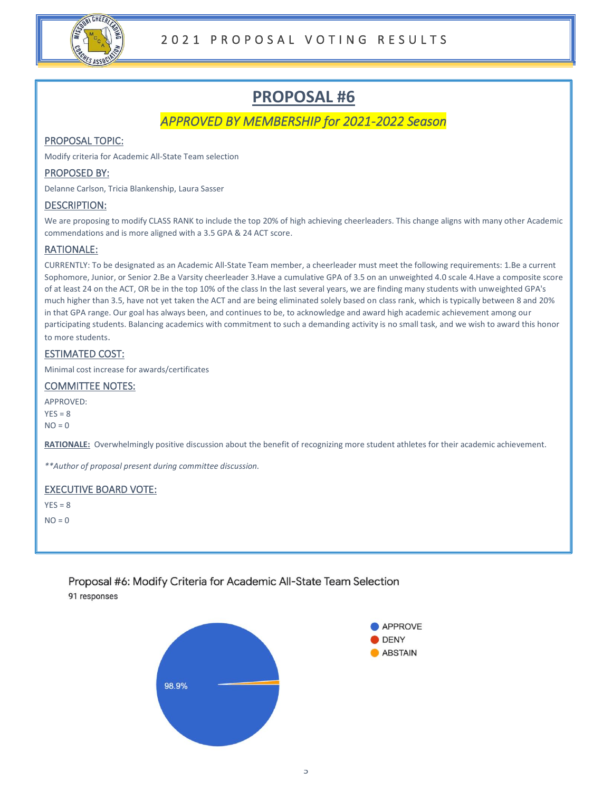

# *APPROVED BY MEMBERSHIP for 2021-2022 Season*

# PROPOSAL TOPIC:

Modify criteria for Academic All-State Team selection

### PROPOSED BY:

Delanne Carlson, Tricia Blankenship, Laura Sasser

#### DESCRIPTION:

We are proposing to modify CLASS RANK to include the top 20% of high achieving cheerleaders. This change aligns with many other Academic commendations and is more aligned with a 3.5 GPA & 24 ACT score.

# RATIONALE:

CURRENTLY: To be designated as an Academic All-State Team member, a cheerleader must meet the following requirements: 1.Be a current Sophomore, Junior, or Senior 2.Be a Varsity cheerleader 3.Have a cumulative GPA of 3.5 on an unweighted 4.0 scale 4.Have a composite score of at least 24 on the ACT, OR be in the top 10% of the class In the last several years, we are finding many students with unweighted GPA's much higher than 3.5, have not yet taken the ACT and are being eliminated solely based on class rank, which is typically between 8 and 20% in that GPA range. Our goal has always been, and continues to be, to acknowledge and award high academic achievement among our participating students. Balancing academics with commitment to such a demanding activity is no small task, and we wish to award this honor to more students.

# ESTIMATED COST:

Minimal cost increase for awards/certificates

# COMMITTEE NOTES:

APPROVED:  $YES = 8$ 

 $NO = 0$ 

**RATIONALE:** Overwhelmingly positive discussion about the benefit of recognizing more student athletes for their academic achievement.

*\*\*Author of proposal present during committee discussion.*

# EXECUTIVE BOARD VOTE:

 $YES = 8$  $NO = 0$ 

> Proposal #6: Modify Criteria for Academic All-State Team Selection 91 responses

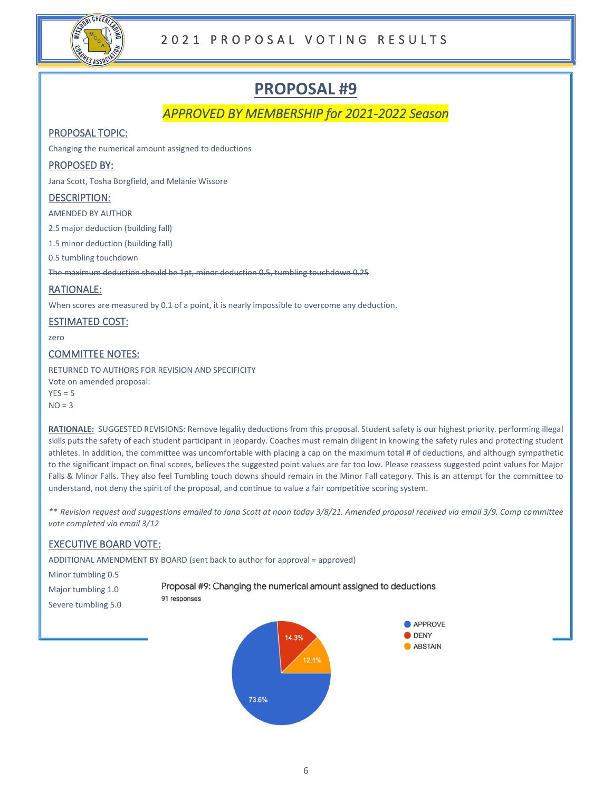

*APPROVED BY MEMBERSHIP for 2021-2022 Season* 

# PROPOSAL TOPIC:

Changing the numerical amount assigned to deductions

# PROPOSED BY:

Jana Scott, Tosha Borgfield, and Melanie Wissore

# DESCRIPTION:

AMENDED BY AUTHOR

2.5 major deduction (building fall)

1.5 minor deduction (building fall)

0.5 tumbling touchdown

The maximum deduction should be 1pt, minor deduction 0.5, tumbling touchdown 0.25

# RATIONALE:

When scores are measured by 0.1 of a point, it is nearly impossible to overcome any deduction.

# ESTIMATED COST:

zero

# COMMITTEE NOTES:

RETURNED TO AUTHORS FOR REVISION AND SPECIFICITY Vote on amended proposal:  $YES = 5$  $NO = 3$ 

**RATIONALE:** SUGGESTED REVISIONS: Remove legality deductions from this proposal. Student safety is our highest priority. performing illegal skills puts the safety of each student participant in jeopardy. Coaches must remain diligent in knowing the safety rules and protecting student athletes. In addition, the committee was uncomfortable with placing a cap on the maximum total # of deductions, and although sympathetic to the significant impact on final scores, believes the suggested point values are far too low. Please reassess suggested point values for Major Falls & Minor Falls. They also feel Tumbling touch downs should remain in the Minor Fall category. This is an attempt for the committee to understand, not deny the spirit of the proposal, and continue to value a fair competitive scoring system.

*\*\* Revision request and suggestions emailed to Jana Scott at noon today 3/8/21. Amended proposal received via email 3/9. Comp committee vote completed via email 3/12*

# EXECUTIVE BOARD VOTE:

ADDITIONAL AMENDMENT BY BOARD (sent back to author for approval = approved)